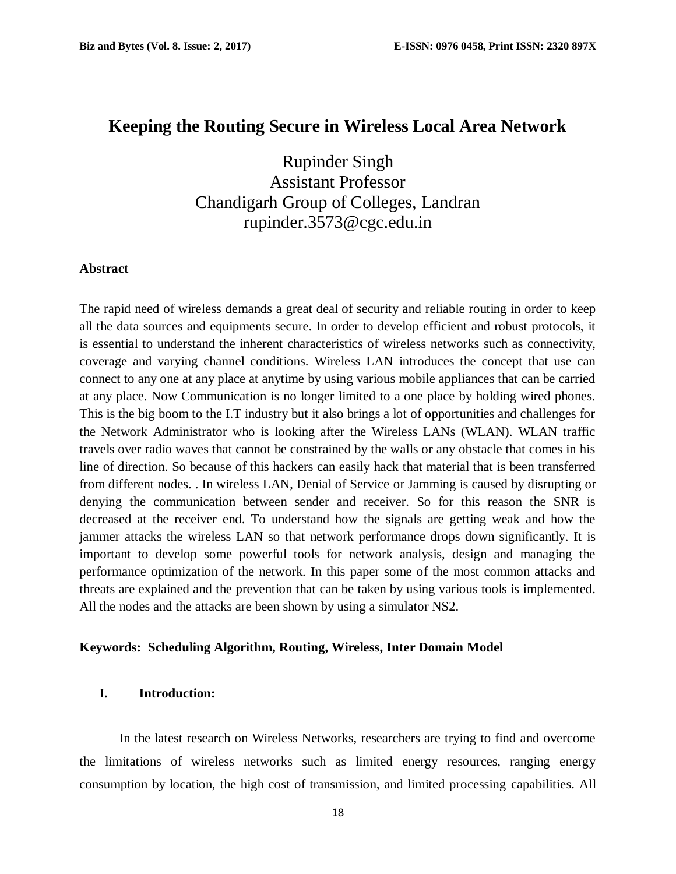# **Keeping the Routing Secure in Wireless Local Area Network**

Rupinder Singh Assistant Professor Chandigarh Group of Colleges, Landran rupinder.3573@cgc.edu.in

### **Abstract**

The rapid need of wireless demands a great deal of security and reliable routing in order to keep all the data sources and equipments secure. In order to develop efficient and robust protocols, it is essential to understand the inherent characteristics of wireless networks such as connectivity, coverage and varying channel conditions. Wireless LAN introduces the concept that use can connect to any one at any place at anytime by using various mobile appliances that can be carried at any place. Now Communication is no longer limited to a one place by holding wired phones. This is the big boom to the I.T industry but it also brings a lot of opportunities and challenges for the Network Administrator who is looking after the Wireless LANs (WLAN). WLAN traffic travels over radio waves that cannot be constrained by the walls or any obstacle that comes in his line of direction. So because of this hackers can easily hack that material that is been transferred from different nodes. . In wireless LAN, Denial of Service or Jamming is caused by disrupting or denying the communication between sender and receiver. So for this reason the SNR is decreased at the receiver end. To understand how the signals are getting weak and how the jammer attacks the wireless LAN so that network performance drops down significantly. It is important to develop some powerful tools for network analysis, design and managing the performance optimization of the network. In this paper some of the most common attacks and threats are explained and the prevention that can be taken by using various tools is implemented. All the nodes and the attacks are been shown by using a simulator NS2.

### **Keywords: Scheduling Algorithm, Routing, Wireless, Inter Domain Model**

# **I. Introduction:**

In the latest research on Wireless Networks, researchers are trying to find and overcome the limitations of wireless networks such as limited energy resources, ranging energy consumption by location, the high cost of transmission, and limited processing capabilities. All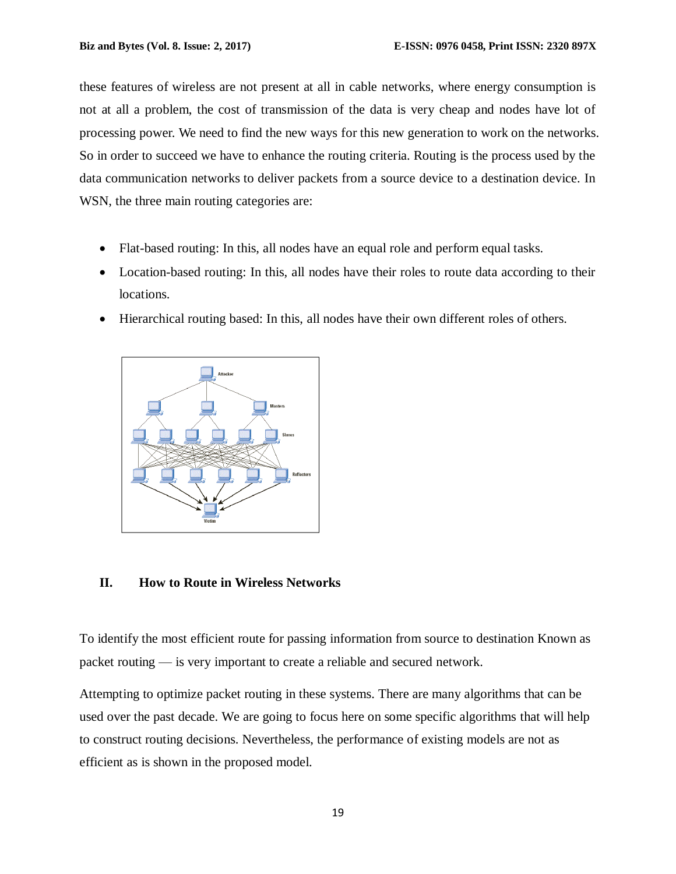these features of wireless are not present at all in cable networks, where energy consumption is not at all a problem, the cost of transmission of the data is very cheap and nodes have lot of processing power. We need to find the new ways for this new generation to work on the networks. So in order to succeed we have to enhance the routing criteria. Routing is the process used by the data communication networks to deliver packets from a source device to a destination device. In WSN, the three main routing categories are:

- Flat-based routing: In this, all nodes have an equal role and perform equal tasks.
- Location-based routing: In this, all nodes have their roles to route data according to their locations.
- Hierarchical routing based: In this, all nodes have their own different roles of others.



# **II. How to Route in Wireless Networks**

To identify the most efficient route for passing information from source to destination Known as packet routing — is very important to create a reliable and secured network.

Attempting to optimize packet routing in these systems. There are many algorithms that can be used over the past decade. We are going to focus here on some specific algorithms that will help to construct routing decisions. Nevertheless, the performance of existing models are not as efficient as is shown in the proposed model.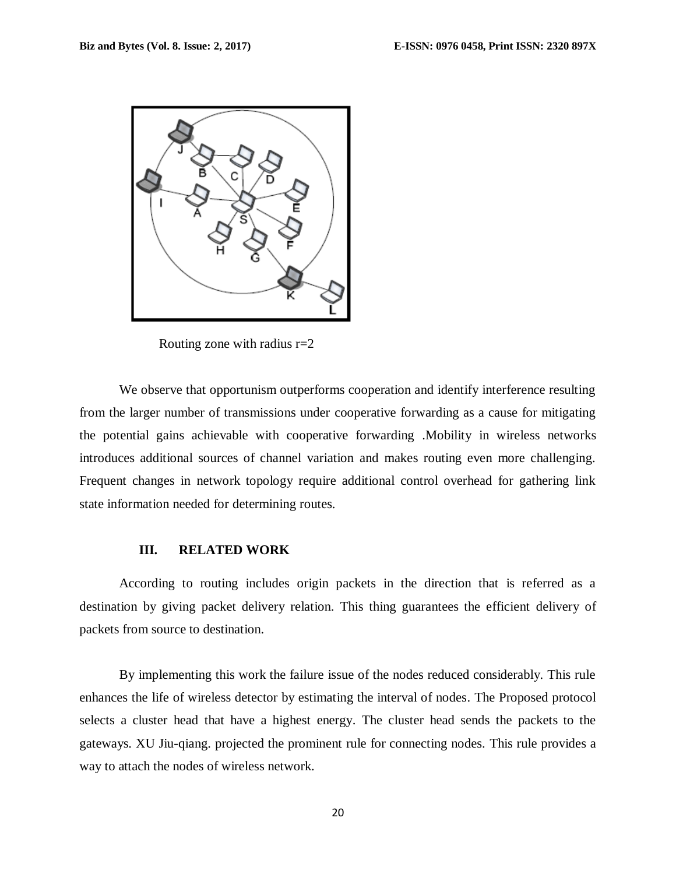

Routing zone with radius r=2

We observe that opportunism outperforms cooperation and identify interference resulting from the larger number of transmissions under cooperative forwarding as a cause for mitigating the potential gains achievable with cooperative forwarding .Mobility in wireless networks introduces additional sources of channel variation and makes routing even more challenging. Frequent changes in network topology require additional control overhead for gathering link state information needed for determining routes.

#### **III. RELATED WORK**

According to routing includes origin packets in the direction that is referred as a destination by giving packet delivery relation. This thing guarantees the efficient delivery of packets from source to destination.

By implementing this work the failure issue of the nodes reduced considerably. This rule enhances the life of wireless detector by estimating the interval of nodes. The Proposed protocol selects a cluster head that have a highest energy. The cluster head sends the packets to the gateways. XU Jiu-qiang. projected the prominent rule for connecting nodes. This rule provides a way to attach the nodes of wireless network.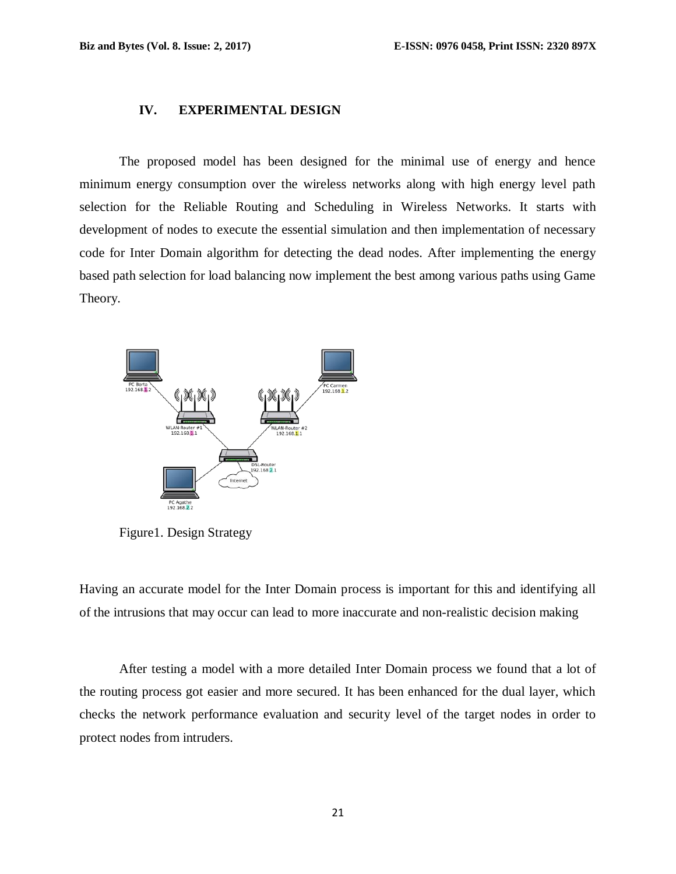# **IV. EXPERIMENTAL DESIGN**

The proposed model has been designed for the minimal use of energy and hence minimum energy consumption over the wireless networks along with high energy level path selection for the Reliable Routing and Scheduling in Wireless Networks. It starts with development of nodes to execute the essential simulation and then implementation of necessary code for Inter Domain algorithm for detecting the dead nodes. After implementing the energy based path selection for load balancing now implement the best among various paths using Game Theory.



Figure1. Design Strategy

Having an accurate model for the Inter Domain process is important for this and identifying all of the intrusions that may occur can lead to more inaccurate and non-realistic decision making

After testing a model with a more detailed Inter Domain process we found that a lot of the routing process got easier and more secured. It has been enhanced for the dual layer, which checks the network performance evaluation and security level of the target nodes in order to protect nodes from intruders.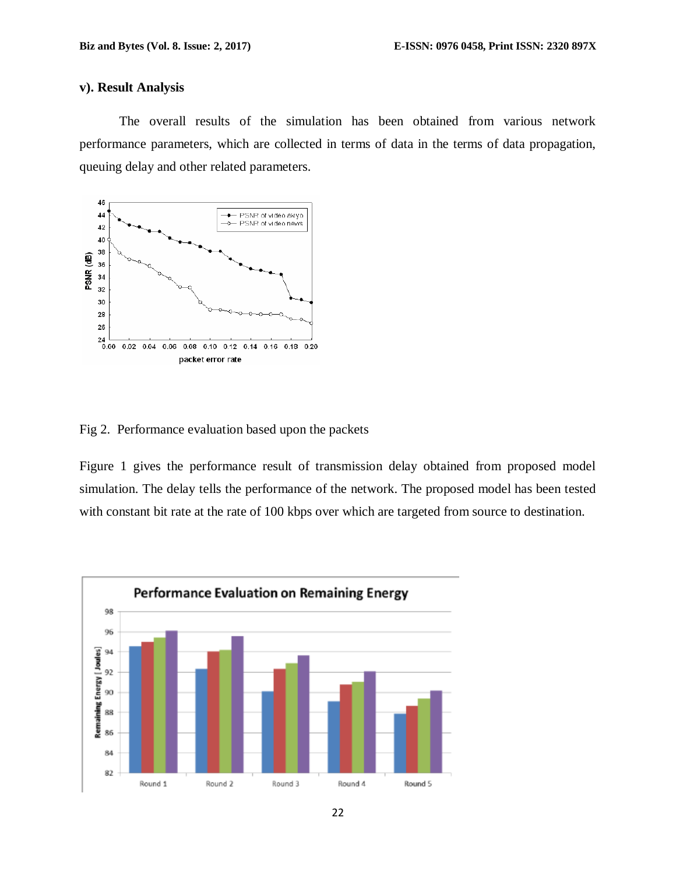### **v). Result Analysis**

The overall results of the simulation has been obtained from various network performance parameters, which are collected in terms of data in the terms of data propagation, queuing delay and other related parameters.



Fig 2. Performance evaluation based upon the packets

Figure 1 gives the performance result of transmission delay obtained from proposed model simulation. The delay tells the performance of the network. The proposed model has been tested with constant bit rate at the rate of 100 kbps over which are targeted from source to destination.

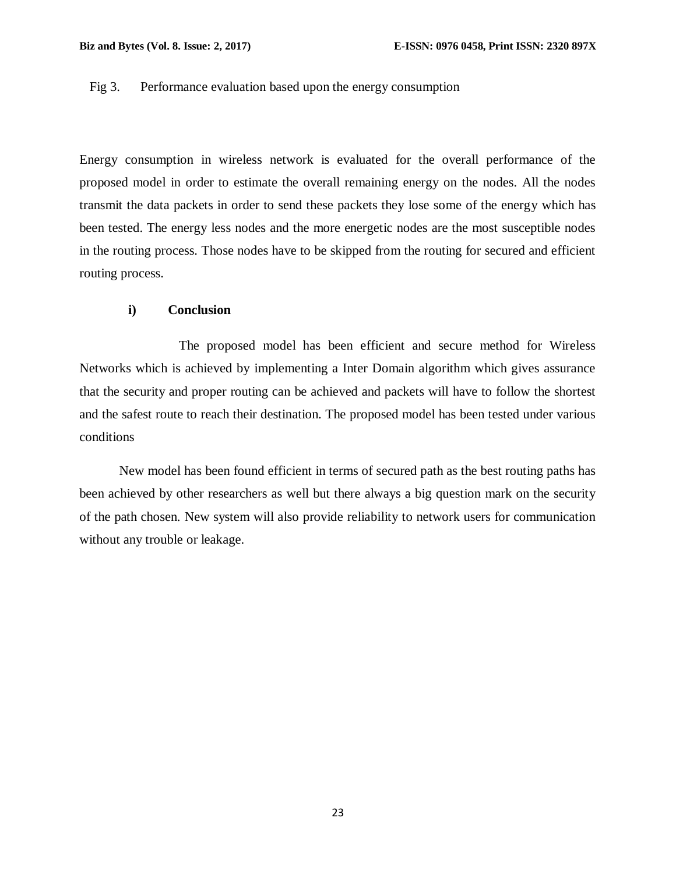## Fig 3. Performance evaluation based upon the energy consumption

Energy consumption in wireless network is evaluated for the overall performance of the proposed model in order to estimate the overall remaining energy on the nodes. All the nodes transmit the data packets in order to send these packets they lose some of the energy which has been tested. The energy less nodes and the more energetic nodes are the most susceptible nodes in the routing process. Those nodes have to be skipped from the routing for secured and efficient routing process.

# **i) Conclusion**

The proposed model has been efficient and secure method for Wireless Networks which is achieved by implementing a Inter Domain algorithm which gives assurance that the security and proper routing can be achieved and packets will have to follow the shortest and the safest route to reach their destination. The proposed model has been tested under various conditions

New model has been found efficient in terms of secured path as the best routing paths has been achieved by other researchers as well but there always a big question mark on the security of the path chosen. New system will also provide reliability to network users for communication without any trouble or leakage.